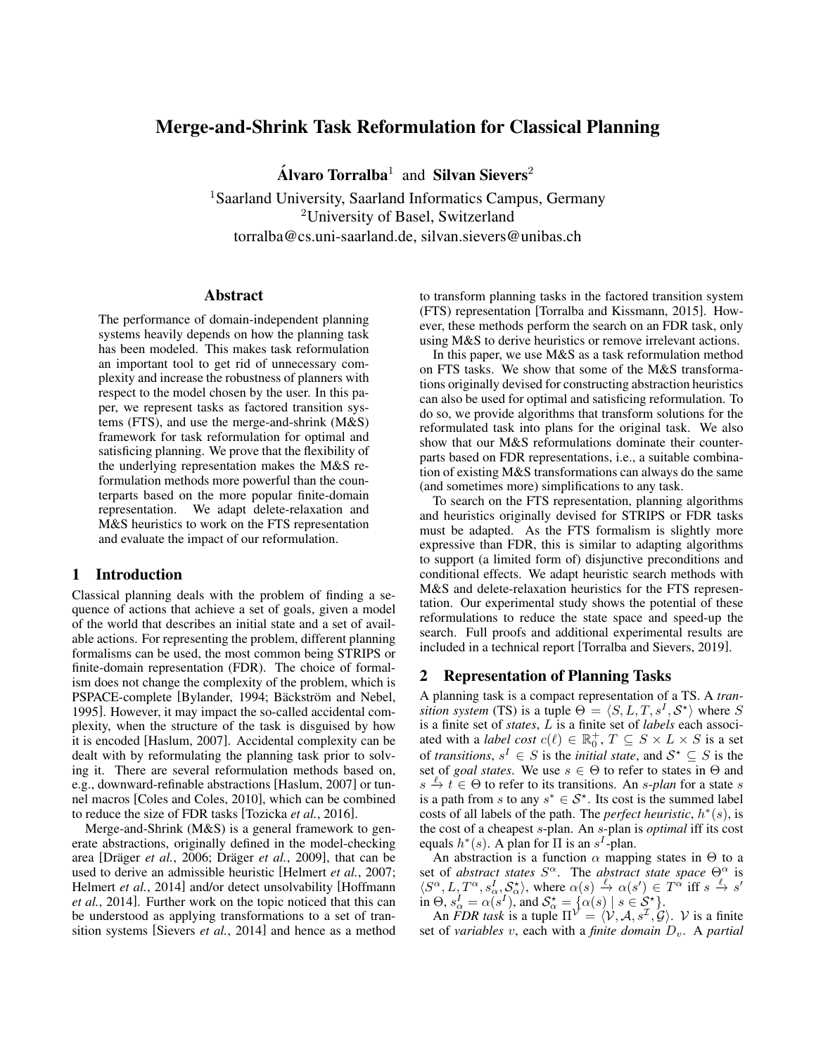# Merge-and-Shrink Task Reformulation for Classical Planning

Álvaro Torralba<sup>1</sup> and Silvan Sievers<sup>2</sup>

<sup>1</sup> Saarland University, Saarland Informatics Campus, Germany <sup>2</sup>University of Basel, Switzerland torralba@cs.uni-saarland.de, silvan.sievers@unibas.ch

#### Abstract

The performance of domain-independent planning systems heavily depends on how the planning task has been modeled. This makes task reformulation an important tool to get rid of unnecessary complexity and increase the robustness of planners with respect to the model chosen by the user. In this paper, we represent tasks as factored transition systems (FTS), and use the merge-and-shrink (M&S) framework for task reformulation for optimal and satisficing planning. We prove that the flexibility of the underlying representation makes the M&S reformulation methods more powerful than the counterparts based on the more popular finite-domain representation. We adapt delete-relaxation and M&S heuristics to work on the FTS representation and evaluate the impact of our reformulation.

# 1 Introduction

Classical planning deals with the problem of finding a sequence of actions that achieve a set of goals, given a model of the world that describes an initial state and a set of available actions. For representing the problem, different planning formalisms can be used, the most common being STRIPS or finite-domain representation (FDR). The choice of formalism does not change the complexity of the problem, which is PSPACE-complete [\[Bylander, 1994;](#page-8-0) Bäckström and Nebel, [1995\]](#page-8-1). However, it may impact the so-called accidental complexity, when the structure of the task is disguised by how it is encoded [\[Haslum, 2007\]](#page-8-2). Accidental complexity can be dealt with by reformulating the planning task prior to solving it. There are several reformulation methods based on, e.g., downward-refinable abstractions [\[Haslum, 2007\]](#page-8-2) or tunnel macros [\[Coles and Coles, 2010\]](#page-8-3), which can be combined to reduce the size of FDR tasks [\[Tozicka](#page-8-4) *et al.*, 2016].

Merge-and-Shrink (M&S) is a general framework to generate abstractions, originally defined in the model-checking area [Dräger et al., 2006; Dräger et al.[, 2009\]](#page-8-6), that can be used to derive an admissible heuristic [\[Helmert](#page-8-7) *et al.*, 2007; [Helmert](#page-8-8) *et al.*, 2014] and/or detect unsolvability [\[Hoffmann](#page-8-9) *et al.*[, 2014\]](#page-8-9). Further work on the topic noticed that this can be understood as applying transformations to a set of transition systems [\[Sievers](#page-8-10) *et al.*, 2014] and hence as a method to transform planning tasks in the factored transition system (FTS) representation [\[Torralba and Kissmann, 2015\]](#page-8-11). However, these methods perform the search on an FDR task, only using M&S to derive heuristics or remove irrelevant actions.

In this paper, we use M&S as a task reformulation method on FTS tasks. We show that some of the M&S transformations originally devised for constructing abstraction heuristics can also be used for optimal and satisficing reformulation. To do so, we provide algorithms that transform solutions for the reformulated task into plans for the original task. We also show that our M&S reformulations dominate their counterparts based on FDR representations, i.e., a suitable combination of existing M&S transformations can always do the same (and sometimes more) simplifications to any task.

To search on the FTS representation, planning algorithms and heuristics originally devised for STRIPS or FDR tasks must be adapted. As the FTS formalism is slightly more expressive than FDR, this is similar to adapting algorithms to support (a limited form of) disjunctive preconditions and conditional effects. We adapt heuristic search methods with M&S and delete-relaxation heuristics for the FTS representation. Our experimental study shows the potential of these reformulations to reduce the state space and speed-up the search. Full proofs and additional experimental results are included in a technical report [\[Torralba and Sievers, 2019\]](#page-8-12).

## 2 Representation of Planning Tasks

A planning task is a compact representation of a TS. A *transition system* (TS) is a tuple  $\Theta = \langle S, L, T, s^I, S^* \rangle$  where S is a finite set of *states*, L is a finite set of *labels* each associated with a *label cost*  $c(\ell) \in \mathbb{R}_0^+$ ,  $T \subseteq S \times L \times S$  is a set of *transitions*,  $s^I \in S$  is the *initial state*, and  $S^* \subseteq S$  is the set of *goal states*. We use  $s \in \Theta$  to refer to states in  $\Theta$  and  $s \stackrel{\ell}{\to} t \stackrel{\circ}{\in} \Theta$  to refer to its transitions. An *s*-*plan* for a state *s* is a path from s to any  $s^* \in S^*$ . Its cost is the summed label costs of all labels of the path. The *perfect heuristic*,  $h^*(s)$ , is the cost of a cheapest s-plan. An s-plan is *optimal* iff its cost equals  $h^*(s)$ . A plan for  $\Pi$  is an  $s^I$ -plan.

An abstraction is a function  $\alpha$  mapping states in  $\Theta$  to a set of *abstract states*  $S^{\alpha}$ . The *abstract state space*  $\Theta_{\alpha}^{\alpha}$  is  $\langle S^{\alpha}, L, T^{\alpha}, s_{\alpha}^{I}, S_{\alpha}^{*} \rangle$ , where  $\alpha(s) \stackrel{\ell}{\rightarrow} \alpha(s') \in T^{\alpha}$  iff  $s \stackrel{\ell}{\rightarrow} s'$ in  $\Theta$ ,  $s_{\alpha}^I = \alpha(s^I)$ , and  $S_{\alpha}^* = {\alpha(s) | s \in S_{\alpha}^*}.$ 

An *FDR task* is a tuple  $\Pi^{\mathcal{V}} = \langle \mathcal{V}, \mathcal{A}, s^{\mathcal{I}}, \mathcal{G} \rangle$ . V is a finite set of *variables* v, each with a *finite domain*  $D_v$ . A *partial*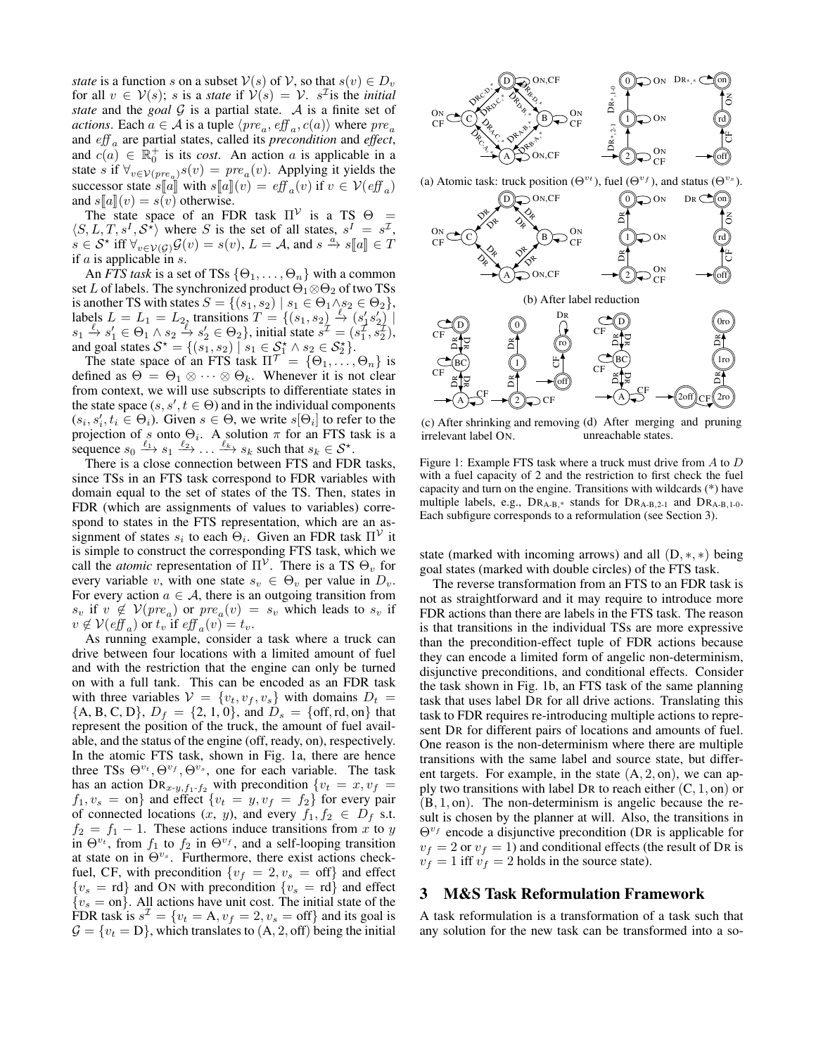*state* is a function s on a subset  $V(s)$  of V, so that  $s(v) \in D_v$ for all  $v \in V(s)$ ; s is a *state* if  $V(s) = V$ . s<sup>T</sup> is the *initial state* and the *goal*  $G$  is a partial state.  $A$  is a finite set of *actions*. Each  $a \in \mathcal{A}$  is a tuple  $\langle pre_a, eff_a, c(a) \rangle$  where  $pre_a$ and eff <sup>a</sup> are partial states, called its *precondition* and *effect*, and  $c(a) \in \mathbb{R}_0^+$  is its *cost*. An action a is applicable in a state s if  $\forall_{v \in \mathcal{V}(pre_a)} s(v) = pre_a(v)$ . Applying it yields the successor state  $s[[a]]$  with  $s[[a]](v) = eff_a(v)$  if  $v \in V(eff_a)$ <br>and  $s[[a]](v) = s(v)$  otherwise and  $s[[a]](v) = s(v)$  otherwise.

The state space of an FDR task  $\Pi^{\mathcal{V}}$  is a TS  $\Theta =$  $\langle S, L, T, s^I, S^* \rangle$  where S is the set of all states,  $s^I = s^{\mathcal{I}}$ ,  $s \in S^*$  iff  $\forall_{v \in V(G)} G(v) = s(v)$ ,  $L = A$ , and  $s \stackrel{a}{\to} s[[a]] \in T$ if  $a$  is applicable in  $s$ .

An *FTS task* is a set of TSs  $\{\Theta_1, \dots, \Theta_n\}$  with a common set L of labels. The synchronized product  $\Theta_1 \otimes \Theta_2$  of two TSs is another TS with states  $S = \{(s_1, s_2) \mid s_1 \in \Theta_1 \wedge s_2 \in \Theta_2\},\$ labels  $L = L_1 = L_2$ , transitions  $T = \{(s_1, s_2) \stackrel{\ell}{\rightarrow} (s_1, s_2)$  $s_1 \stackrel{\ell}{\to} s_1' \in \Theta_1 \wedge s_2 \stackrel{\ell}{\to} s_2' \in \Theta_2$ , initial state  $s^{\mathcal{I}} = (s_1^{\mathcal{I}}, s_2^{\mathcal{I}})$ , and goal states  $S^* = \{ (s_1, s_2) \mid s_1 \in S_1^* \wedge s_2 \in S_2^* \}.$ 

The state space of an FTS task  $\Pi^{\mathcal{T}} = \{\Theta_1, \dots, \Theta_n\}$  is defined as  $\Theta = \Theta_1 \otimes \cdots \otimes \Theta_k$ . Whenever it is not clear from context, we will use subscripts to differentiate states in the state space  $(s, s', t \in \Theta)$  and in the individual components  $(s_i, s'_i, t_i \in \Theta_i)$ . Given  $s \in \Theta$ , we write  $s[\Theta_i]$  to refer to the projection of s onto  $\Theta_i$ . A solution  $\pi$  for an FTS task is a sequence  $s_0 \xrightarrow{\ell_1} s_1 \xrightarrow{\ell_2} \dots \xrightarrow{\ell_k} s_k$  such that  $s_k \in S^*$ .

There is a close connection between FTS and FDR tasks, since TSs in an FTS task correspond to FDR variables with domain equal to the set of states of the TS. Then, states in FDR (which are assignments of values to variables) correspond to states in the FTS representation, which are an assignment of states  $s_i$  to each  $\Theta_i$ . Given an FDR task  $\Pi^{\mathcal{V}}$  it is simple to construct the corresponding FTS task, which we call the *atomic* representation of  $\Pi^{\mathcal{V}}$ . There is a TS  $\Theta_v$  for every variable v, with one state  $s_v \in \Theta_v$  per value in  $D_v$ . For every action  $a \in \mathcal{A}$ , there is an outgoing transition from  $s_v$  if  $v \notin V(pre_a)$  or  $pre_a(v) = s_v$  which leads to  $s_v$  if  $v \notin V(eff_a)$  or  $t_v$  if  $eff_a(v) = t_v$ .

As running example, consider a task where a truck can drive between four locations with a limited amount of fuel and with the restriction that the engine can only be turned on with a full tank. This can be encoded as an FDR task with three variables  $V = \{v_t, v_f, v_s\}$  with domains  $D_t$  ${A, B, C, D}$ ,  $D_f = {2, 1, 0}$ , and  $D_s = {off, rd, on}$  that represent the position of the truck, the amount of fuel available, and the status of the engine (off, ready, on), respectively. In the atomic FTS task, shown in Fig. [1a,](#page-1-0) there are hence three TSs  $\Theta^{v_t}, \Theta^{v_f}, \Theta^{v_s}$ , one for each variable. The task has an action  $\text{DR}_{x-y,f_1-f_2}$  with precondition  $\{v_t = x, v_f =$  $f_1, v_s = \text{on}$  and effect  $\{v_t = y, v_f = f_2\}$  for every pair of connected locations  $(x, y)$ , and every  $f_1, f_2 \in D_f$  s.t.  $f_2 = f_1 - 1$ . These actions induce transitions from x to y in  $\Theta^{v_t}$ , from  $f_1$  to  $f_2$  in  $\Theta^{v_f}$ , and a self-looping transition at state on in  $\Theta^{v_s}$ . Furthermore, there exist actions checkfuel, CF, with precondition  $\{v_f = 2, v_s = \text{off}\}\$ and effect  ${v_s = rd}$  and ON with precondition  ${v_s = rd}$  and effect  ${v_s = \text{on}}$ . All actions have unit cost. The initial state of the FDR task is  $s^{\mathcal{I}} = \{v_t = A, v_f = 2, v_s = \text{off}\}\$ and its goal is  $\mathcal{G} = \{v_t = D\}$ , which translates to  $(A, 2, off)$  being the initial

<span id="page-1-0"></span>

(a) Atomic task: truck position ( $\Theta^{v_t}$ ), fuel ( $\Theta^{v_f}$ ), and status ( $\Theta^{v_s}$ ).



(c) After shrinking and removing (d) After merging and pruning irrelevant label ON. unreachable states.

A

CF

2off))CF∬2ro

CF

A

CF

2

CF

Figure 1: Example FTS task where a truck must drive from A to D with a fuel capacity of 2 and the restriction to first check the fuel capacity and turn on the engine. Transitions with wildcards (\*) have multiple labels, e.g.,  $DR_{A-B,*}$  stands for  $DR_{A-B,2-1}$  and  $DR_{A-B,1-0}$ . Each subfigure corresponds to a reformulation (see Section [3\)](#page-1-1).

state (marked with incoming arrows) and all  $(D, *, *)$  being goal states (marked with double circles) of the FTS task.

The reverse transformation from an FTS to an FDR task is not as straightforward and it may require to introduce more FDR actions than there are labels in the FTS task. The reason is that transitions in the individual TSs are more expressive than the precondition-effect tuple of FDR actions because they can encode a limited form of angelic non-determinism, disjunctive preconditions, and conditional effects. Consider the task shown in Fig. [1b,](#page-1-0) an FTS task of the same planning task that uses label DR for all drive actions. Translating this task to FDR requires re-introducing multiple actions to represent DR for different pairs of locations and amounts of fuel. One reason is the non-determinism where there are multiple transitions with the same label and source state, but different targets. For example, in the state  $(A, 2, on)$ , we can apply two transitions with label DR to reach either  $(C, 1, on)$  or  $(B, 1, on)$ . The non-determinism is angelic because the result is chosen by the planner at will. Also, the transitions in  $\Theta^{v_f}$  encode a disjunctive precondition (DR is applicable for  $v_f = 2$  or  $v_f = 1$ ) and conditional effects (the result of DR is  $v_f = 1$  iff  $v_f = 2$  holds in the source state).

# <span id="page-1-1"></span>3 M&S Task Reformulation Framework

A task reformulation is a transformation of a task such that any solution for the new task can be transformed into a so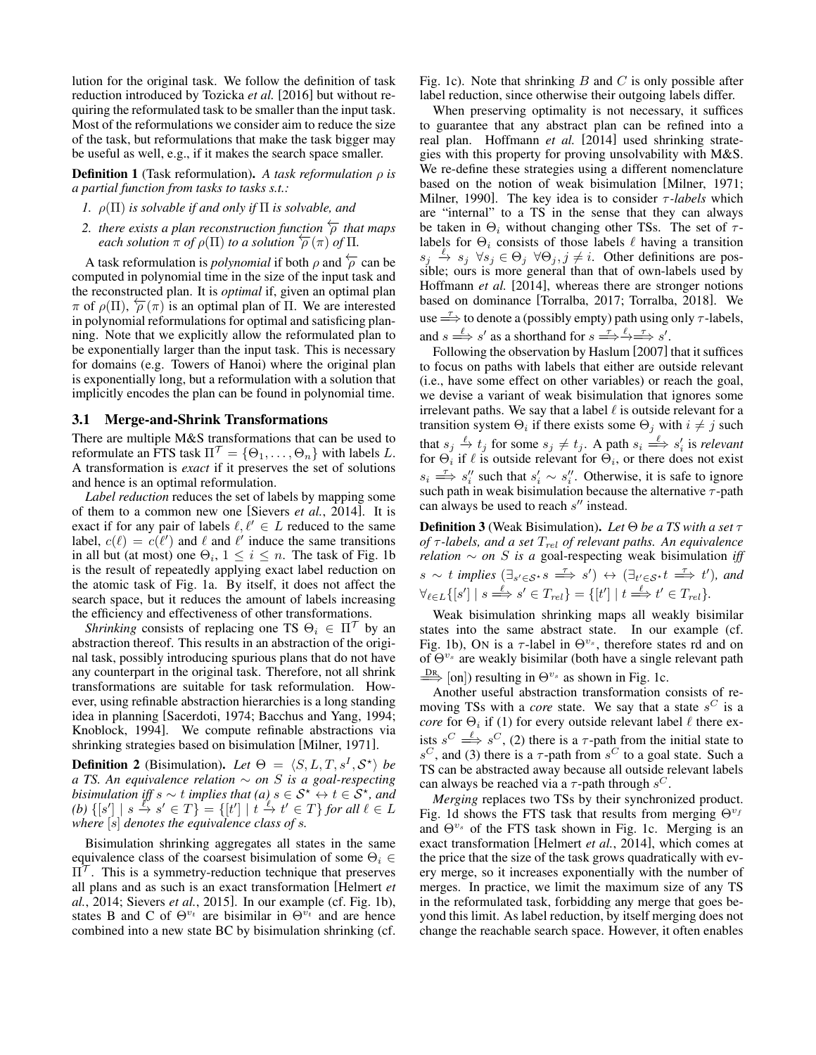lution for the original task. We follow the definition of task reduction introduced by [Tozicka](#page-8-4) *et al.* [\[2016\]](#page-8-4) but without requiring the reformulated task to be smaller than the input task. Most of the reformulations we consider aim to reduce the size of the task, but reformulations that make the task bigger may be useful as well, e.g., if it makes the search space smaller.

**Definition 1** (Task reformulation). A task reformulation  $\rho$  is *a partial function from tasks to tasks s.t.:*

- *1.* ρ(Π) *is solvable if and only if* Π *is solvable, and*
- 2. *there exists a plan reconstruction function*  $\overleftarrow{\rho}$  *that maps each solution*  $\pi$  *of*  $\rho(\Pi)$  *to a solution*  $\overleftarrow{\rho}(\pi)$  *of*  $\Pi$ *.*

A task reformulation is *polynomial* if both  $\rho$  and  $\overleftarrow{\rho}$  can be computed in polynomial time in the size of the input task and the reconstructed plan. It is *optimal* if, given an optimal plan  $\pi$  of  $\rho(\Pi)$ ,  $\rho(\pi)$  is an optimal plan of  $\Pi$ . We are interested in polynomial reformulations for optimal and satisficing planning. Note that we explicitly allow the reformulated plan to be exponentially larger than the input task. This is necessary for domains (e.g. Towers of Hanoi) where the original plan is exponentially long, but a reformulation with a solution that implicitly encodes the plan can be found in polynomial time.

#### 3.1 Merge-and-Shrink Transformations

There are multiple M&S transformations that can be used to reformulate an FTS task  $\Pi^{\mathcal{T}} = {\Theta_1, \ldots, \Theta_n}$  with labels L. A transformation is *exact* if it preserves the set of solutions and hence is an optimal reformulation.

*Label reduction* reduces the set of labels by mapping some of them to a common new one [\[Sievers](#page-8-10) *et al.*, 2014]. It is exact if for any pair of labels  $\ell, \ell' \in L$  reduced to the same label,  $c(\ell) = c(\ell')$  and  $\ell$  and  $\ell'$  induce the same transitions in all but (at most) one  $\Theta_i$ ,  $1 \leq i \leq n$ . The task of Fig. [1b](#page-1-0) is the result of repeatedly applying exact label reduction on the atomic task of Fig. [1a.](#page-1-0) By itself, it does not affect the search space, but it reduces the amount of labels increasing the efficiency and effectiveness of other transformations.

*Shrinking* consists of replacing one TS  $\Theta_i \in \Pi^{\mathcal{T}}$  by an abstraction thereof. This results in an abstraction of the original task, possibly introducing spurious plans that do not have any counterpart in the original task. Therefore, not all shrink transformations are suitable for task reformulation. However, using refinable abstraction hierarchies is a long standing idea in planning [\[Sacerdoti, 1974;](#page-8-13) [Bacchus and Yang, 1994;](#page-8-14) [Knoblock, 1994\]](#page-8-15). We compute refinable abstractions via shrinking strategies based on bisimulation [\[Milner, 1971\]](#page-8-16).

**Definition 2** (Bisimulation). Let  $\Theta = \langle S, L, T, s^I, \mathcal{S}^* \rangle$  be *a TS. An equivalence relation* ∼ *on* S *is a goal-respecting bisimulation iff*  $s \sim t$  *implies that*  $(a)$   $s \in S^* \leftrightarrow t \in S^*$ , and (b)  $\{ [s'] \mid s \stackrel{l''}{\to} s' \in T \} = \{ [t'] \mid t \stackrel{l}{\to} t' \in T \}$  *for all*  $l \in L$ *where* [s] *denotes the equivalence class of* s*.*

Bisimulation shrinking aggregates all states in the same equivalence class of the coarsest bisimulation of some  $\Theta_i \in$  $\Pi^{\prime}$ . This is a symmetry-reduction technique that preserves all plans and as such is an exact transformation [\[Helmert](#page-8-8) *et al.*[, 2014;](#page-8-8) [Sievers](#page-8-17) *et al.*, 2015]. In our example (cf. Fig. [1b\)](#page-1-0), states B and C of  $\Theta^{v_t}$  are bisimilar in  $\Theta^{v_t}$  and are hence combined into a new state BC by bisimulation shrinking (cf. Fig. [1c\)](#page-1-0). Note that shrinking  $B$  and  $C$  is only possible after label reduction, since otherwise their outgoing labels differ.

When preserving optimality is not necessary, it suffices to guarantee that any abstract plan can be refined into a real plan. [Hoffmann](#page-8-9) *et al.* [\[2014\]](#page-8-9) used shrinking strategies with this property for proving unsolvability with M&S. We re-define these strategies using a different nomenclature based on the notion of weak bisimulation [\[Milner, 1971;](#page-8-16) [Milner, 1990\]](#page-8-18). The key idea is to consider τ *-labels* which are "internal" to a TS in the sense that they can always be taken in  $\Theta_i$  without changing other TSs. The set of  $\tau$ labels for  $\Theta_i$  consists of those labels  $\ell$  having a transition  $s_j \stackrel{\ell}{\to} s_j \,\forall s_j \in \Theta_j \,\forall \Theta_j, j \neq i$ . Other definitions are possible; ours is more general than that of own-labels used by [Hoffmann](#page-8-9) *et al.* [\[2014\]](#page-8-9), whereas there are stronger notions based on dominance [\[Torralba, 2017;](#page-8-19) [Torralba, 2018\]](#page-8-20). We use  $\Rightarrow$  to denote a (possibly empty) path using only  $\tau$ -labels, and  $s \stackrel{\ell}{\Longrightarrow} s'$  as a shorthand for  $s \stackrel{\tau}{\Longrightarrow} \stackrel{\ell}{\Longrightarrow} \stackrel{\tau}{\Longrightarrow} s'$ .

Following the observation by [Haslum](#page-8-2) [\[2007\]](#page-8-2) that it suffices to focus on paths with labels that either are outside relevant (i.e., have some effect on other variables) or reach the goal, we devise a variant of weak bisimulation that ignores some irrelevant paths. We say that a label  $\ell$  is outside relevant for a transition system  $\Theta_i$  if there exists some  $\Theta_j$  with  $i \neq j$  such that  $s_j \stackrel{\ell}{\to} t_j$  for some  $s_j \neq t_j$ . A path  $s_i \stackrel{\ell}{\Longrightarrow} s'_i$  is *relevant* for  $\Theta_i$  if  $\ell$  is outside relevant for  $\Theta_i$ , or there does not exist  $s_i \stackrel{\tau}{\Longrightarrow} s_i''$  such that  $s_i' \sim s_i''$ . Otherwise, it is safe to ignore such path in weak bisimulation because the alternative  $\tau$ -path can always be used to reach  $s''$  instead.

Definition 3 (Weak Bisimulation). *Let* Θ *be a TS with a set* τ *of* τ *-labels, and a set* Trel *of relevant paths. An equivalence relation*  $\sim$  *on* S *is a* goal-respecting weak bisimulation *iff*  $s \sim t$  *implies*  $(\exists_{s' \in S^*} s \implies s') \leftrightarrow (\exists_{t' \in S^*} t \implies t')$ *, and*  $\forall_{\ell \in L} \{ [s'] \mid s \stackrel{\ell}{\Longrightarrow} s' \in T_{rel} \} = \{ [t'] \mid t \stackrel{\ell}{\Longrightarrow} t' \in T_{rel} \}.$ 

Weak bisimulation shrinking maps all weakly bisimilar states into the same abstract state. In our example (cf. Fig. [1b\)](#page-1-0), ON is a  $\tau$ -label in  $\Theta^{v_s}$ , therefore states rd and on of  $\Theta^{v_s}$  are weakly bisimilar (both have a single relevant path  $\frac{DR}{\Longrightarrow}$  [on]) resulting in  $\Theta^{v_s}$  as shown in Fig. [1c.](#page-1-0)

Another useful abstraction transformation consists of removing TSs with a *core* state. We say that a state  $s^C$  is a *core* for  $\Theta_i$  if (1) for every outside relevant label  $\ell$  there exists  $s^C \stackrel{\ell}{\Longrightarrow} s^C$ , (2) there is a  $\tau$ -path from the initial state to  $s^C$ , and (3) there is a  $\tau$ -path from  $s^C$  to a goal state. Such a TS can be abstracted away because all outside relevant labels can always be reached via a  $\tau$ -path through  $s^C$ .

*Merging* replaces two TSs by their synchronized product. Fig. [1d](#page-1-0) shows the FTS task that results from merging  $\Theta^{v_f}$ and  $\Theta^{v_s}$  of the FTS task shown in Fig. [1c.](#page-1-0) Merging is an exact transformation [\[Helmert](#page-8-8) *et al.*, 2014], which comes at the price that the size of the task grows quadratically with every merge, so it increases exponentially with the number of merges. In practice, we limit the maximum size of any TS in the reformulated task, forbidding any merge that goes beyond this limit. As label reduction, by itself merging does not change the reachable search space. However, it often enables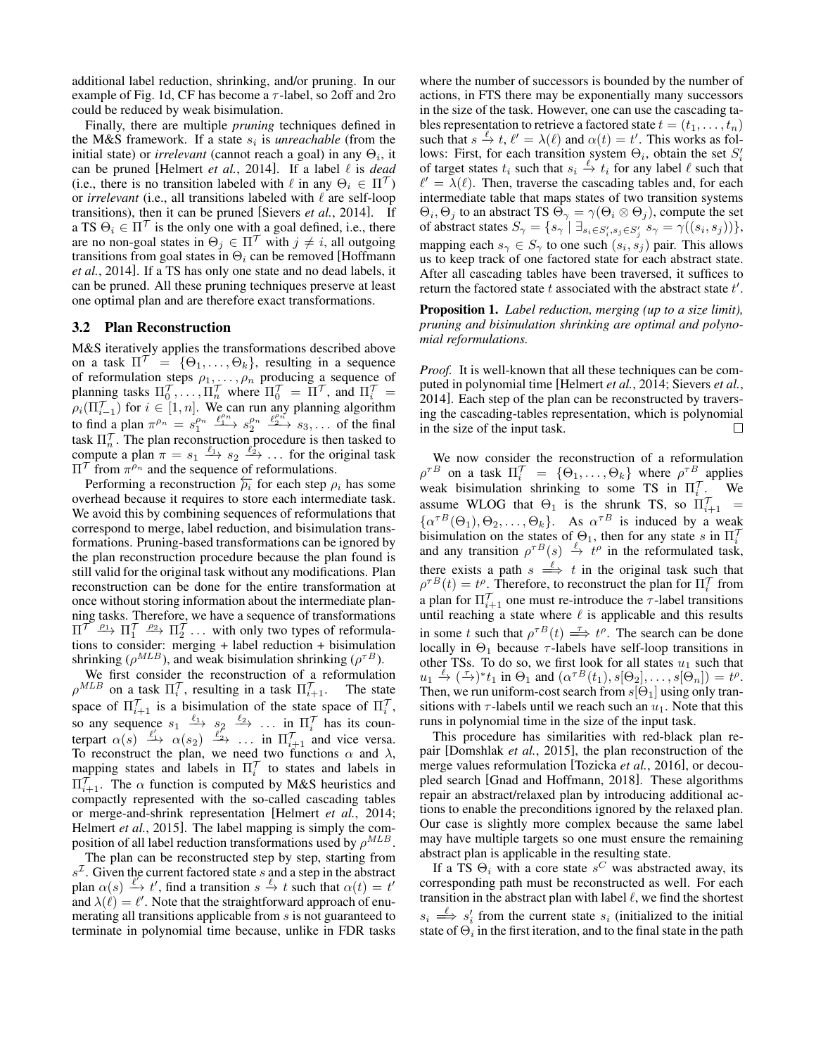additional label reduction, shrinking, and/or pruning. In our example of Fig. [1d,](#page-1-0) CF has become a  $\tau$ -label, so 2off and 2ro could be reduced by weak bisimulation.

Finally, there are multiple *pruning* techniques defined in the M&S framework. If a state  $s_i$  is *unreachable* (from the initial state) or *irrelevant* (cannot reach a goal) in any  $\Theta_i$ , it can be pruned [\[Helmert](#page-8-8) *et al.*, 2014]. If a label  $\ell$  is *dead* (i.e., there is no transition labeled with  $\ell$  in any  $\Theta_i \in \Pi^{\mathcal{T}}$ ) or *irrelevant* (i.e., all transitions labeled with  $\ell$  are self-loop transitions), then it can be pruned [\[Sievers](#page-8-10) *et al.*, 2014]. If a TS  $\Theta_i \in \Pi^{\mathcal{T}}$  is the only one with a goal defined, i.e., there are no non-goal states in  $\Theta_i \in \Pi^{\mathcal{T}}$  with  $j \neq i$ , all outgoing transitions from goal states in  $\Theta_i$  can be removed [\[Hoffmann](#page-8-9) *et al.*[, 2014\]](#page-8-9). If a TS has only one state and no dead labels, it can be pruned. All these pruning techniques preserve at least one optimal plan and are therefore exact transformations.

# 3.2 Plan Reconstruction

M&S iteratively applies the transformations described above on a task  $\Pi^{\mathcal{T}} = {\Theta_1, \ldots, \Theta_k}$ , resulting in a sequence of reformulation steps  $\rho_1, \ldots, \rho_n$  producing a sequence of planning tasks  $\Pi_0^{\mathcal{T}}, \ldots, \Pi_n^{\mathcal{T}}$  where  $\Pi_0^{\mathcal{T}} = \Pi^{\mathcal{T}}$ , and  $\Pi_i^{\mathcal{T}} =$  $\rho_i(\Pi_{i=1}^{\mathcal{T}})$  for  $i \in [1, n]$ . We can run any planning algorithm to find a plan  $\pi^{\rho_n} = s_1^{\rho_n} \xrightarrow{\ell_1^n} s_2^{\rho_n} \xrightarrow{\ell_2^n} s_3, \dots$  of the final task  $\Pi_n^{\gamma}$ . The plan reconstruction procedure is then tasked to compute a plan  $\pi = s_1 \xrightarrow{\ell_1} s_2 \xrightarrow{\ell_2} \dots$  for the original task  $\Pi^{\mathcal{T}}$  from  $\pi^{\rho_n}$  and the sequence of reformulations.

Performing a reconstruction  $\overleftarrow{\rho_i}$  for each step  $\rho_i$  has some overhead because it requires to store each intermediate task. We avoid this by combining sequences of reformulations that correspond to merge, label reduction, and bisimulation transformations. Pruning-based transformations can be ignored by the plan reconstruction procedure because the plan found is still valid for the original task without any modifications. Plan reconstruction can be done for the entire transformation at once without storing information about the intermediate planning tasks. Therefore, we have a sequence of transformations  $\Pi^{\mathcal{T}} \xrightarrow{\rho_1} \Pi_1^{\mathcal{T}} \xrightarrow{\rho_2} \Pi_2^{\mathcal{T}} \dots$  with only two types of reformulations to consider: merging + label reduction + bisimulation shrinking ( $\rho^{MLB}$ ), and weak bisimulation shrinking ( $\rho^{\tau B}$ ).

We first consider the reconstruction of a reformulation  $\rho^{MLB}$  on a task  $\Pi_i^{\mathcal{T}}$ , resulting in a task  $\Pi_{i+1}^{\mathcal{T}}$ . The state space of  $\Pi_{i+1}^{\gamma}$  is a bisimulation of the state space of  $\Pi_i^{\gamma}$ , so any sequence  $s_1 \xrightarrow{\ell_1} s_2 \xrightarrow{\ell_2} \dots$  in  $\Pi_i^{\mathcal{T}}$  has its counterpart  $\alpha(s) \xrightarrow{\ell'_1} \alpha(s_2) \xrightarrow{\ell'_2} \dots$  in  $\Pi_{i+1}^T$  and vice versa. To reconstruct the plan, we need two functions  $\alpha$  and  $\lambda$ , mapping states and labels in  $\Pi_i^{\prime}$  to states and labels in  $\Pi_{i+1}^{\prime}$ . The  $\alpha$  function is computed by M&S heuristics and compactly represented with the so-called cascading tables or merge-and-shrink representation [\[Helmert](#page-8-8) *et al.*, 2014; [Helmert](#page-8-21) *et al.*, 2015]. The label mapping is simply the composition of all label reduction transformations used by  $\rho^{MLB}$ .

The plan can be reconstructed step by step, starting from  $s^2$ . Given the current factored state s and a step in the abstract plan  $\alpha(s) \stackrel{\ell'}{\rightarrow} t'$ , find a transition  $s \stackrel{\ell}{\rightarrow} t$  such that  $\alpha(t) = t'$ and  $\lambda(\ell) = \ell'$ . Note that the straightforward approach of enumerating all transitions applicable from s is not guaranteed to terminate in polynomial time because, unlike in FDR tasks where the number of successors is bounded by the number of actions, in FTS there may be exponentially many successors in the size of the task. However, one can use the cascading tables representation to retrieve a factored state  $t = (t_1, \ldots, t_n)$ such that  $s \stackrel{\ell}{\to} t$ ,  $\ell' = \lambda(\ell)$  and  $\alpha(t) = t'$ . This works as follows: First, for each transition system  $\Theta_i$ , obtain the set  $S_i'$ of target states  $t_i$  such that  $s_i \stackrel{\ell}{\to} t_i$  for any label  $\ell$  such that  $\ell' = \lambda(\ell)$ . Then, traverse the cascading tables and, for each intermediate table that maps states of two transition systems  $\Theta_i$ ,  $\Theta_j$  to an abstract TS  $\Theta_\gamma = \gamma(\Theta_i \otimes \Theta_j)$ , compute the set of abstract states  $S_{\gamma} = \{s_{\gamma} \mid \exists_{s_i \in S'_i, s_j \in S'_j} s_{\gamma} = \gamma((s_i, s_j))\},\$ mapping each  $s_{\gamma} \in S_{\gamma}$  to one such  $(s_i, s_j)$  pair. This allows us to keep track of one factored state for each abstract state. After all cascading tables have been traversed, it suffices to return the factored state  $t$  associated with the abstract state  $t'$ .

Proposition 1. *Label reduction, merging (up to a size limit), pruning and bisimulation shrinking are optimal and polynomial reformulations.*

*Proof.* It is well-known that all these techniques can be computed in polynomial time [\[Helmert](#page-8-8) *et al.*, 2014; [Sievers](#page-8-10) *et al.*, [2014\]](#page-8-10). Each step of the plan can be reconstructed by traversing the cascading-tables representation, which is polynomial in the size of the input task.  $\Box$ 

We now consider the reconstruction of a reformulation  $\rho^{\tau B}$  on a task  $\Pi_i^{\mathcal{T}} = {\Theta_1, \ldots, \Theta_k}$  where  $\rho^{\tau B}$  applies weak bisimulation shrinking to some TS in  $\Pi_i'$ . We assume WLOG that  $\Theta_1$  is the shrunk TS, so  $\Pi_{i+1}^{\prime}$  =  $\{\alpha^{\tau B}(\Theta_1), \Theta_2, \ldots, \Theta_k\}.$  As  $\alpha^{\tau B}$  is induced by a weak bisimulation on the states of  $\Theta_1$ , then for any state s in  $\Pi_i^{\gamma}$ and any transition  $\rho^{\tau}B(s) \stackrel{\ell}{\rightarrow} t^{\rho}$  in the reformulated task, there exists a path  $s \stackrel{\ell}{\implies} t$  in the original task such that  $\rho^{\tau}B(t) = t^{\rho}$ . Therefore, to reconstruct the plan for  $\Pi_i^{\mathcal{T}}$  from a plan for  $\Pi_{i+1}^{\mathcal{T}}$  one must re-introduce the  $\tau$ -label transitions until reaching a state where  $\ell$  is applicable and this results in some t such that  $\rho^{\tau}B(t) \stackrel{\tau}{\implies} t^{\rho}$ . The search can be done locally in  $\Theta_1$  because  $\tau$ -labels have self-loop transitions in other TSs. To do so, we first look for all states  $u_1$  such that  $u_1 \stackrel{\ell}{\rightarrow} (\stackrel{\tau}{\rightarrow})^* t_1$  in  $\Theta_1$  and  $(\alpha^{\tau}{}^B(t_1), s[\Theta_2], \ldots, s[\Theta_n]) = t^{\rho}$ . Then, we run uniform-cost search from  $s[\Theta_1]$  using only transitions with  $\tau$ -labels until we reach such an  $u_1$ . Note that this runs in polynomial time in the size of the input task.

This procedure has similarities with red-black plan repair [\[Domshlak](#page-8-22) *et al.*, 2015], the plan reconstruction of the merge values reformulation [\[Tozicka](#page-8-4) *et al.*, 2016], or decoupled search [\[Gnad and Hoffmann, 2018\]](#page-8-23). These algorithms repair an abstract/relaxed plan by introducing additional actions to enable the preconditions ignored by the relaxed plan. Our case is slightly more complex because the same label may have multiple targets so one must ensure the remaining abstract plan is applicable in the resulting state.

If a TS  $\Theta_i$  with a core state  $s^C$  was abstracted away, its corresponding path must be reconstructed as well. For each transition in the abstract plan with label  $\ell$ , we find the shortest  $s_i \stackrel{\ell}{\Longrightarrow} s'_i$  from the current state  $s_i$  (initialized to the initial state of  $\Theta_i$  in the first iteration, and to the final state in the path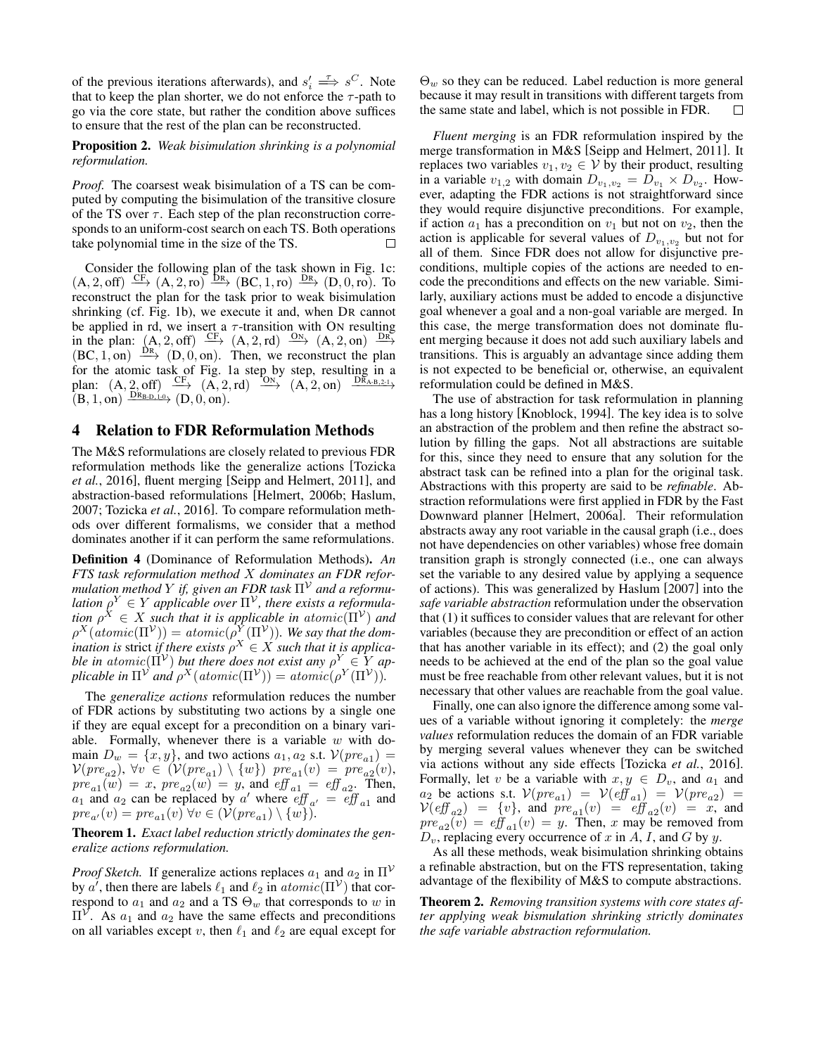of the previous iterations afterwards), and  $s_i' \stackrel{\tau}{\implies} s^C$ . Note that to keep the plan shorter, we do not enforce the  $\tau$ -path to go via the core state, but rather the condition above suffices to ensure that the rest of the plan can be reconstructed.

#### Proposition 2. *Weak bisimulation shrinking is a polynomial reformulation.*

*Proof.* The coarsest weak bisimulation of a TS can be computed by computing the bisimulation of the transitive closure of the TS over  $\tau$ . Each step of the plan reconstruction corresponds to an uniform-cost search on each TS. Both operations take polynomial time in the size of the TS. П

Consider the following plan of the task shown in Fig. [1c:](#page-1-0)  $(A, 2, off) \xrightarrow{\text{CF}} (A, 2, ro) \xrightarrow{\text{DR}} (BC, 1, ro) \xrightarrow{\text{DR}} (D, 0, ro)$ . To reconstruct the plan for the task prior to weak bisimulation shrinking (cf. Fig. [1b\)](#page-1-0), we execute it and, when DR cannot be applied in rd, we insert a  $\tau$ -transition with ON resulting in the plan:  $(A, 2, off) \xrightarrow{CF} (A, 2, rd) \xrightarrow{ON} (A, 2, on) \xrightarrow{DR}$  $(BC, 1, on) \xrightarrow{DR} (D, 0, on)$ . Then, we reconstruct the plan for the atomic task of Fig. [1a](#page-1-0) step by step, resulting in a plan:  $(A, 2, off) \xrightarrow{CF} (A, 2, rd) \xrightarrow{O_N} (A, 2, on) \xrightarrow{DR_{A-B,2-1}}$  $(B, 1, on) \xrightarrow{DR_{B-D,1-0}} (D, 0, on).$ 

#### 4 Relation to FDR Reformulation Methods

The M&S reformulations are closely related to previous FDR reformulation methods like the generalize actions [\[Tozicka](#page-8-4) *et al.*[, 2016\]](#page-8-4), fluent merging [\[Seipp and Helmert, 2011\]](#page-8-24), and abstraction-based reformulations [\[Helmert, 2006b;](#page-8-25) [Haslum,](#page-8-2) [2007;](#page-8-2) [Tozicka](#page-8-4) *et al.*, 2016]. To compare reformulation methods over different formalisms, we consider that a method dominates another if it can perform the same reformulations.

Definition 4 (Dominance of Reformulation Methods). *An FTS task reformulation method* X *dominates an FDR reformulation method* Y *if, given an FDR task*  $\Pi^{\mathcal{V}}$  *and a reformulation*  $\rho^Y \in Y$  applicable over  $\Pi^{\mathcal{V}}$ , there exists a reformula*tion*  $\rho^X \in X$  *such that it is applicable in atomic* $(\Pi^{\mathcal{V}})$  *and*  $\rho^X(atomic(\Pi^{\mathcal{V}})) = atomic(\rho^{\overline{Y}}(\Pi^{\mathcal{V}})).$  We say that the dom*ination is strict if there exists*  $\rho^X \in X$  *such that it is applicable in atomic*( $\Pi^{\mathcal{V}}$ ) *but there does not exist any*  $\rho^Y \in Y$  *applicable in*  $\Pi^{\mathcal{V}}$  *and*  $\rho^X(atomic(\Pi^{\mathcal{V}})) = atomic(\rho^Y(\Pi^{\mathcal{V}})).$ 

The *generalize actions* reformulation reduces the number of FDR actions by substituting two actions by a single one if they are equal except for a precondition on a binary variable. Formally, whenever there is a variable  $w$  with domain  $D_w = \{x, y\}$ , and two actions  $a_1, a_2$  s.t.  $\mathcal{V}(pre_{a_1}) =$  $\mathcal{V}(pre_{a2}), \forall v \in (\mathcal{V}(pre_{a1}) \setminus \{w\}) \ pre_{a1}(v) = pre_{a2}(v),$  $pre_{a1}(w) = x$ ,  $pre_{a2}(w) = y$ , and  $eff_{a1} = eff_{a2}$ . Then,  $a_1$  and  $a_2$  can be replaced by a' where  $\text{eff}_{a'} = \text{eff}_{a_1}$  and  $pre_{a'}(v) = pre_{a1}(v) \ \forall v \in (\mathcal{V}(pre_{a1}) \setminus \{w\}).$ 

## Theorem 1. *Exact label reduction strictly dominates the generalize actions reformulation.*

*Proof Sketch.* If generalize actions replaces  $a_1$  and  $a_2$  in  $\Pi^{\mathcal{V}}$ by a', then there are labels  $\ell_1$  and  $\ell_2$  in  $atomic(\Pi^{\mathcal{V}})$  that correspond to  $a_1$  and  $a_2$  and a TS  $\Theta_w$  that corresponds to w in  $\Pi^{\mathcal{V}}$ . As  $a_1$  and  $a_2$  have the same effects and preconditions on all variables except v, then  $\ell_1$  and  $\ell_2$  are equal except for  $\Theta_w$  so they can be reduced. Label reduction is more general because it may result in transitions with different targets from the same state and label, which is not possible in FDR.  $\Box$ 

*Fluent merging* is an FDR reformulation inspired by the merge transformation in M&S [\[Seipp and Helmert, 2011\]](#page-8-24). It replaces two variables  $v_1, v_2 \in V$  by their product, resulting in a variable  $v_{1,2}$  with domain  $D_{v_1,v_2} = D_{v_1} \times D_{v_2}$ . However, adapting the FDR actions is not straightforward since they would require disjunctive preconditions. For example, if action  $a_1$  has a precondition on  $v_1$  but not on  $v_2$ , then the action is applicable for several values of  $D_{v_1,v_2}$  but not for all of them. Since FDR does not allow for disjunctive preconditions, multiple copies of the actions are needed to encode the preconditions and effects on the new variable. Similarly, auxiliary actions must be added to encode a disjunctive goal whenever a goal and a non-goal variable are merged. In this case, the merge transformation does not dominate fluent merging because it does not add such auxiliary labels and transitions. This is arguably an advantage since adding them is not expected to be beneficial or, otherwise, an equivalent reformulation could be defined in M&S.

The use of abstraction for task reformulation in planning has a long history [\[Knoblock, 1994\]](#page-8-15). The key idea is to solve an abstraction of the problem and then refine the abstract solution by filling the gaps. Not all abstractions are suitable for this, since they need to ensure that any solution for the abstract task can be refined into a plan for the original task. Abstractions with this property are said to be *refinable*. Abstraction reformulations were first applied in FDR by the Fast Downward planner [\[Helmert, 2006a\]](#page-8-26). Their reformulation abstracts away any root variable in the causal graph (i.e., does not have dependencies on other variables) whose free domain transition graph is strongly connected (i.e., one can always set the variable to any desired value by applying a sequence of actions). This was generalized by [Haslum](#page-8-2) [\[2007\]](#page-8-2) into the *safe variable abstraction* reformulation under the observation that (1) it suffices to consider values that are relevant for other variables (because they are precondition or effect of an action that has another variable in its effect); and (2) the goal only needs to be achieved at the end of the plan so the goal value must be free reachable from other relevant values, but it is not necessary that other values are reachable from the goal value.

Finally, one can also ignore the difference among some values of a variable without ignoring it completely: the *merge values* reformulation reduces the domain of an FDR variable by merging several values whenever they can be switched via actions without any side effects [\[Tozicka](#page-8-4) *et al.*, 2016]. Formally, let v be a variable with  $x, y \in D_v$ , and  $a_1$  and  $a_2$  be actions s.t.  $V(pre_{a1}) = V(eff_{a1}) = V(pre_{a2}) =$  $V(eff_{a2}) = \{v\}, \text{ and } pre_{a1}(v) = eff_{a2}(v) = x, \text{ and}$  $pre_{a2}(v) = eff_{a1}(v) = y$ . Then, x may be removed from  $D_v$ , replacing every occurrence of x in A, I, and G by y.

As all these methods, weak bisimulation shrinking obtains a refinable abstraction, but on the FTS representation, taking advantage of the flexibility of M&S to compute abstractions.

Theorem 2. *Removing transition systems with core states after applying weak bismulation shrinking strictly dominates the safe variable abstraction reformulation.*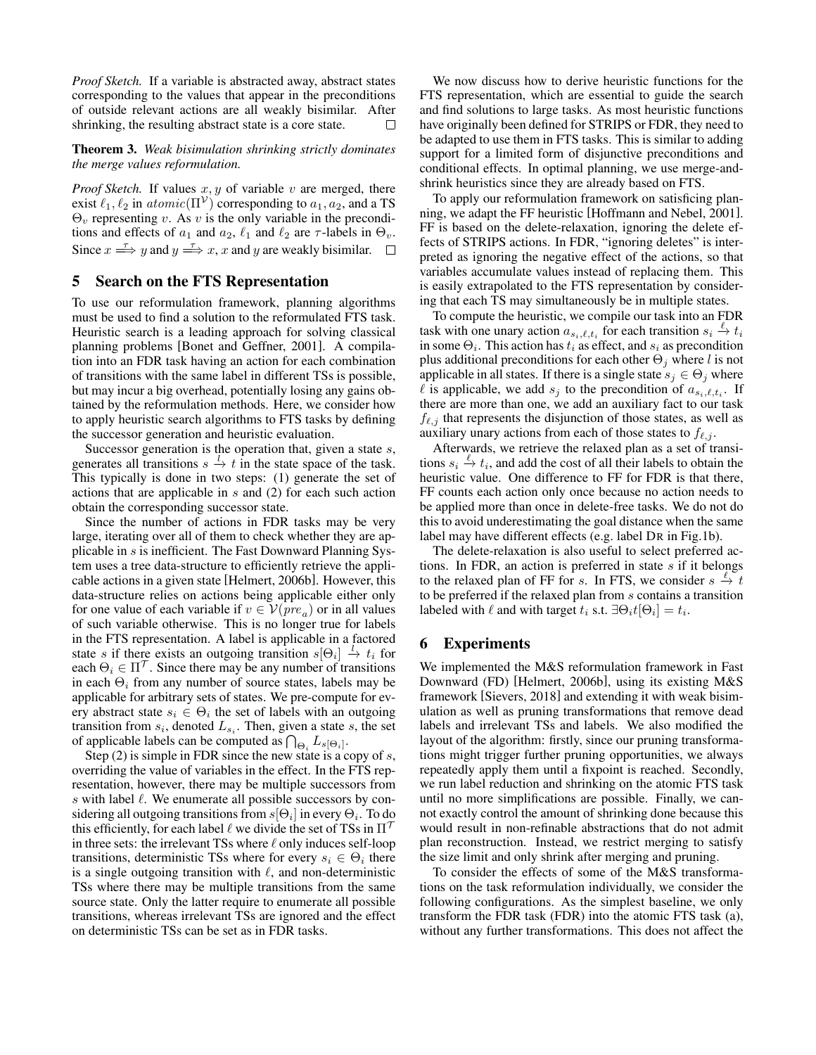*Proof Sketch.* If a variable is abstracted away, abstract states corresponding to the values that appear in the preconditions of outside relevant actions are all weakly bisimilar. After shrinking, the resulting abstract state is a core state. П

#### Theorem 3. *Weak bisimulation shrinking strictly dominates the merge values reformulation.*

*Proof Sketch.* If values  $x, y$  of variable  $v$  are merged, there exist  $\ell_1, \ell_2$  in  $atomic(\Pi^{\mathcal{V}})$  corresponding to  $a_1, a_2$ , and a TS  $\Theta_v$  representing v. As v is the only variable in the preconditions and effects of  $a_1$  and  $a_2$ ,  $\ell_1$  and  $\ell_2$  are  $\tau$ -labels in  $\Theta_v$ . Since  $x \stackrel{\tau}{\Longrightarrow} y$  and  $y \stackrel{\tau}{\Longrightarrow} x$ , x and y are weakly bisimilar.

## 5 Search on the FTS Representation

To use our reformulation framework, planning algorithms must be used to find a solution to the reformulated FTS task. Heuristic search is a leading approach for solving classical planning problems [\[Bonet and Geffner, 2001\]](#page-8-27). A compilation into an FDR task having an action for each combination of transitions with the same label in different TSs is possible, but may incur a big overhead, potentially losing any gains obtained by the reformulation methods. Here, we consider how to apply heuristic search algorithms to FTS tasks by defining the successor generation and heuristic evaluation.

Successor generation is the operation that, given a state s, generates all transitions  $s \stackrel{l}{\rightarrow} t$  in the state space of the task. This typically is done in two steps: (1) generate the set of actions that are applicable in s and (2) for each such action obtain the corresponding successor state.

Since the number of actions in FDR tasks may be very large, iterating over all of them to check whether they are applicable in s is inefficient. The Fast Downward Planning System uses a tree data-structure to efficiently retrieve the applicable actions in a given state [\[Helmert, 2006b\]](#page-8-25). However, this data-structure relies on actions being applicable either only for one value of each variable if  $v \in V(pre_a)$  or in all values of such variable otherwise. This is no longer true for labels in the FTS representation. A label is applicable in a factored state s if there exists an outgoing transition  $s[\Theta_i] \stackrel{l}{\rightarrow} t_i$  for each  $\Theta_i \in \Pi^{\mathcal{T}}$ . Since there may be any number of transitions in each  $\Theta_i$  from any number of source states, labels may be applicable for arbitrary sets of states. We pre-compute for every abstract state  $s_i \in \Theta_i$  the set of labels with an outgoing transition from  $s_i$ , denoted  $L_{s_i}$ . Then, given a state s, the set of applicable labels can be computed as  $\bigcap_{\Theta_i} L_{s[\Theta_i]}.$ 

Step  $(2)$  is simple in FDR since the new state is a copy of s, overriding the value of variables in the effect. In the FTS representation, however, there may be multiple successors from s with label  $\ell$ . We enumerate all possible successors by considering all outgoing transitions from  $s[\Theta_i]$  in every  $\Theta_i.$  To do this efficiently, for each label  $\ell$  we divide the set of TSs in  $\Pi^{\mathcal{T}}$ in three sets: the irrelevant TSs where  $\ell$  only induces self-loop transitions, deterministic TSs where for every  $s_i \in \Theta_i$  there is a single outgoing transition with  $\ell$ , and non-deterministic TSs where there may be multiple transitions from the same source state. Only the latter require to enumerate all possible transitions, whereas irrelevant TSs are ignored and the effect on deterministic TSs can be set as in FDR tasks.

We now discuss how to derive heuristic functions for the FTS representation, which are essential to guide the search and find solutions to large tasks. As most heuristic functions have originally been defined for STRIPS or FDR, they need to be adapted to use them in FTS tasks. This is similar to adding support for a limited form of disjunctive preconditions and conditional effects. In optimal planning, we use merge-andshrink heuristics since they are already based on FTS.

To apply our reformulation framework on satisficing planning, we adapt the FF heuristic [\[Hoffmann and Nebel, 2001\]](#page-8-28). FF is based on the delete-relaxation, ignoring the delete effects of STRIPS actions. In FDR, "ignoring deletes" is interpreted as ignoring the negative effect of the actions, so that variables accumulate values instead of replacing them. This is easily extrapolated to the FTS representation by considering that each TS may simultaneously be in multiple states.

To compute the heuristic, we compile our task into an FDR task with one unary action  $a_{s_i,\ell,t_i}$  for each transition  $s_i \stackrel{\ell}{\to} t_i$ in some  $\Theta_i$ . This action has  $t_i$  as effect, and  $s_i$  as precondition plus additional preconditions for each other  $\Theta_i$  where l is not applicable in all states. If there is a single state  $s_i \in \Theta_i$  where  $\ell$  is applicable, we add  $s_j$  to the precondition of  $a_{s_i,\ell,t_i}$ . If there are more than one, we add an auxiliary fact to our task  $f_{\ell,j}$  that represents the disjunction of those states, as well as auxiliary unary actions from each of those states to  $f_{\ell,j}$ .

Afterwards, we retrieve the relaxed plan as a set of transitions  $s_i \stackrel{\ell}{\rightarrow} t_i$ , and add the cost of all their labels to obtain the heuristic value. One difference to FF for FDR is that there, FF counts each action only once because no action needs to be applied more than once in delete-free tasks. We do not do this to avoid underestimating the goal distance when the same label may have different effects (e.g. label DR in Fig[.1b\)](#page-1-0).

The delete-relaxation is also useful to select preferred actions. In FDR, an action is preferred in state  $s$  if it belongs to the relaxed plan of FF for s. In FTS, we consider  $s \stackrel{\ell}{\to} t$ to be preferred if the relaxed plan from s contains a transition labeled with  $\ell$  and with target  $t_i$  s.t.  $\exists \Theta_i t[\Theta_i] = t_i$ .

# 6 Experiments

We implemented the M&S reformulation framework in Fast Downward (FD) [\[Helmert, 2006b\]](#page-8-25), using its existing M&S framework [\[Sievers, 2018\]](#page-8-29) and extending it with weak bisimulation as well as pruning transformations that remove dead labels and irrelevant TSs and labels. We also modified the layout of the algorithm: firstly, since our pruning transformations might trigger further pruning opportunities, we always repeatedly apply them until a fixpoint is reached. Secondly, we run label reduction and shrinking on the atomic FTS task until no more simplifications are possible. Finally, we cannot exactly control the amount of shrinking done because this would result in non-refinable abstractions that do not admit plan reconstruction. Instead, we restrict merging to satisfy the size limit and only shrink after merging and pruning.

To consider the effects of some of the M&S transformations on the task reformulation individually, we consider the following configurations. As the simplest baseline, we only transform the FDR task (FDR) into the atomic FTS task (a), without any further transformations. This does not affect the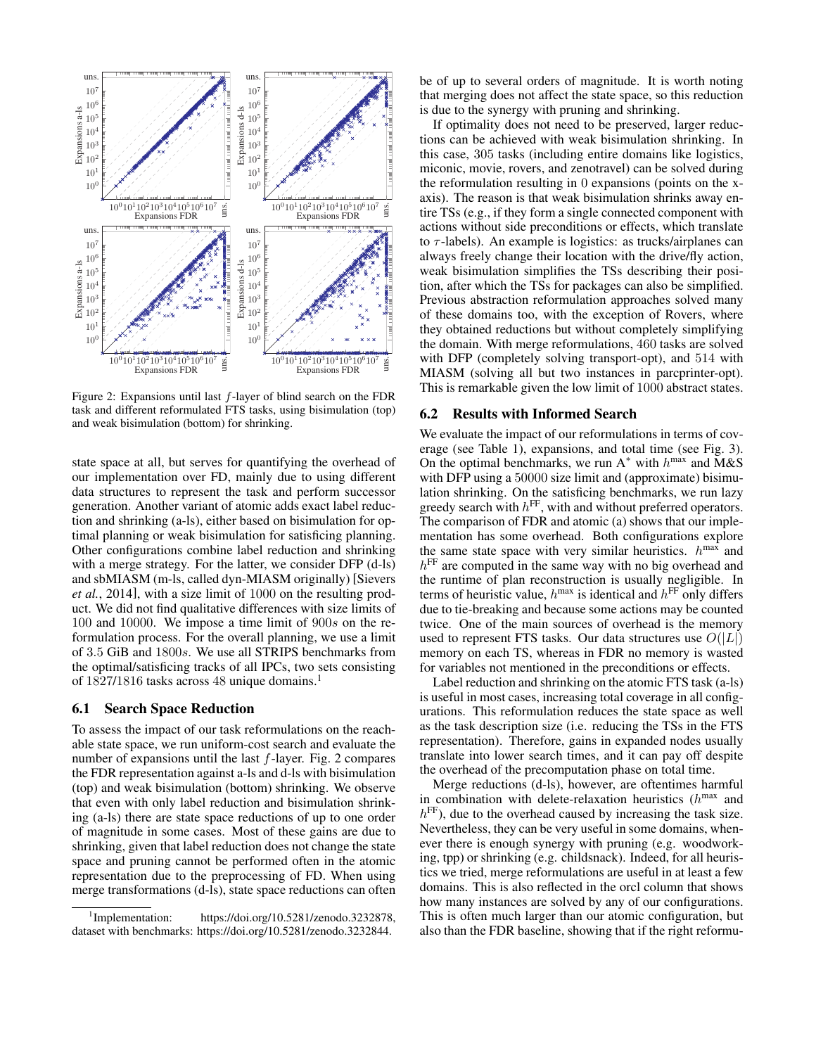<span id="page-6-1"></span>

Figure 2: Expansions until last  $f$ -layer of blind search on the FDR task and different reformulated FTS tasks, using bisimulation (top) and weak bisimulation (bottom) for shrinking.

state space at all, but serves for quantifying the overhead of our implementation over FD, mainly due to using different data structures to represent the task and perform successor generation. Another variant of atomic adds exact label reduction and shrinking (a-ls), either based on bisimulation for optimal planning or weak bisimulation for satisficing planning. Other configurations combine label reduction and shrinking with a merge strategy. For the latter, we consider DFP (d-ls) and sbMIASM (m-ls, called dyn-MIASM originally) [\[Sievers](#page-8-10) *et al.*[, 2014\]](#page-8-10), with a size limit of 1000 on the resulting product. We did not find qualitative differences with size limits of 100 and 10000. We impose a time limit of 900s on the reformulation process. For the overall planning, we use a limit of 3.5 GiB and 1800s. We use all STRIPS benchmarks from the optimal/satisficing tracks of all IPCs, two sets consisting of [1](#page-6-0)827/1816 tasks across 48 unique domains.<sup>1</sup>

## 6.1 Search Space Reduction

To assess the impact of our task reformulations on the reachable state space, we run uniform-cost search and evaluate the number of expansions until the last  $f$ -layer. Fig. [2](#page-6-1) compares the FDR representation against a-ls and d-ls with bisimulation (top) and weak bisimulation (bottom) shrinking. We observe that even with only label reduction and bisimulation shrinking (a-ls) there are state space reductions of up to one order of magnitude in some cases. Most of these gains are due to shrinking, given that label reduction does not change the state space and pruning cannot be performed often in the atomic representation due to the preprocessing of FD. When using merge transformations (d-ls), state space reductions can often be of up to several orders of magnitude. It is worth noting that merging does not affect the state space, so this reduction is due to the synergy with pruning and shrinking.

If optimality does not need to be preserved, larger reductions can be achieved with weak bisimulation shrinking. In this case, 305 tasks (including entire domains like logistics, miconic, movie, rovers, and zenotravel) can be solved during the reformulation resulting in 0 expansions (points on the xaxis). The reason is that weak bisimulation shrinks away entire TSs (e.g., if they form a single connected component with actions without side preconditions or effects, which translate to  $\tau$ -labels). An example is logistics: as trucks/airplanes can always freely change their location with the drive/fly action, weak bisimulation simplifies the TSs describing their position, after which the TSs for packages can also be simplified. Previous abstraction reformulation approaches solved many of these domains too, with the exception of Rovers, where they obtained reductions but without completely simplifying the domain. With merge reformulations, 460 tasks are solved with DFP (completely solving transport-opt), and 514 with MIASM (solving all but two instances in parcprinter-opt). This is remarkable given the low limit of 1000 abstract states.

#### 6.2 Results with Informed Search

We evaluate the impact of our reformulations in terms of coverage (see Table [1\)](#page-7-0), expansions, and total time (see Fig. [3\)](#page-7-1). On the optimal benchmarks, we run  $A^*$  with  $h^{max}$  and  $M&S$ with DFP using a 50000 size limit and (approximate) bisimulation shrinking. On the satisficing benchmarks, we run lazy greedy search with  $h^{\text{FF}}$ , with and without preferred operators. The comparison of FDR and atomic (a) shows that our implementation has some overhead. Both configurations explore the same state space with very similar heuristics.  $h^{\text{max}}$  and  $h<sup>FF</sup>$  are computed in the same way with no big overhead and the runtime of plan reconstruction is usually negligible. In terms of heuristic value,  $h^{\text{max}}$  is identical and  $h^{\text{FF}}$  only differs due to tie-breaking and because some actions may be counted twice. One of the main sources of overhead is the memory used to represent FTS tasks. Our data structures use  $O(|L|)$ memory on each TS, whereas in FDR no memory is wasted for variables not mentioned in the preconditions or effects.

Label reduction and shrinking on the atomic FTS task (a-ls) is useful in most cases, increasing total coverage in all configurations. This reformulation reduces the state space as well as the task description size (i.e. reducing the TSs in the FTS representation). Therefore, gains in expanded nodes usually translate into lower search times, and it can pay off despite the overhead of the precomputation phase on total time.

Merge reductions (d-ls), however, are oftentimes harmful in combination with delete-relaxation heuristics  $(h<sup>max</sup>$  and  $h<sup>FF</sup>$ ), due to the overhead caused by increasing the task size. Nevertheless, they can be very useful in some domains, whenever there is enough synergy with pruning (e.g. woodworking, tpp) or shrinking (e.g. childsnack). Indeed, for all heuristics we tried, merge reformulations are useful in at least a few domains. This is also reflected in the orcl column that shows how many instances are solved by any of our configurations. This is often much larger than our atomic configuration, but also than the FDR baseline, showing that if the right reformu-

<span id="page-6-0"></span><sup>&</sup>lt;sup>1</sup>Implementation: https://doi.org/10.5281/zenodo.3232878, dataset with benchmarks: [https://doi.org/10.5281/zenodo.3232844.](https://doi.org/10.5281/zenodo.3232844)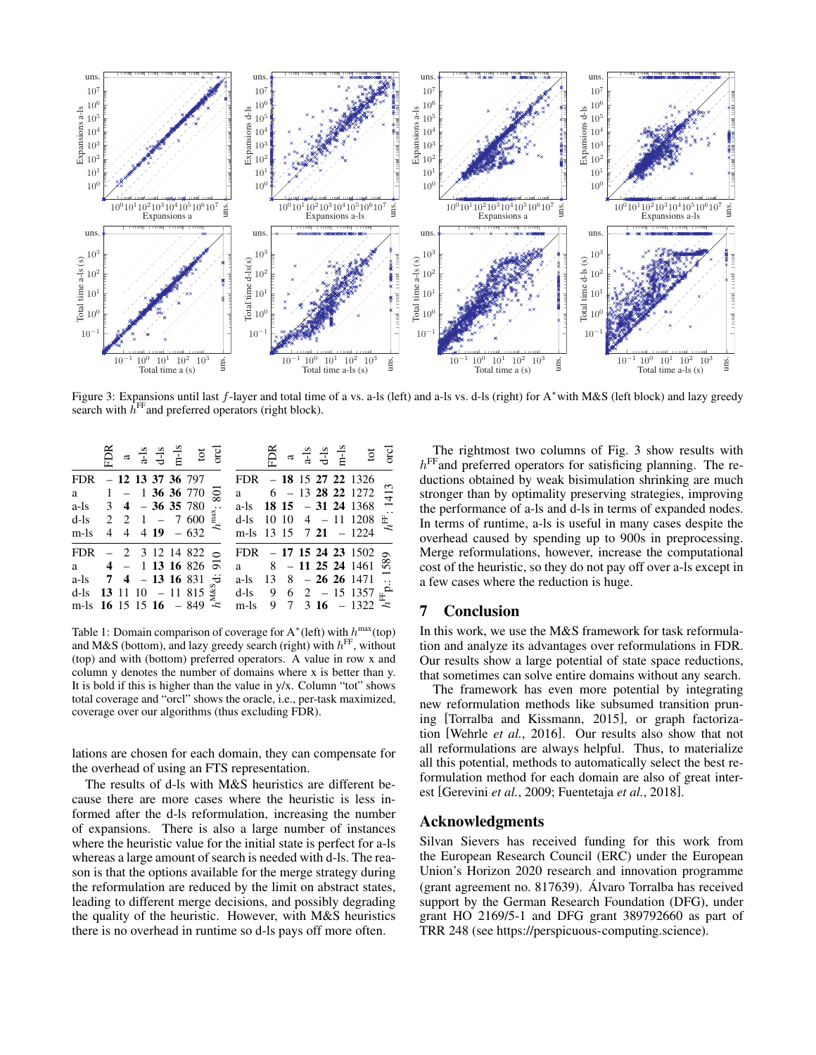<span id="page-7-1"></span>

Figure 3: Expansions until last f-layer and total time of a vs. a-ls (left) and a-ls vs. d-ls (right) for A<sup>∗</sup>with M&S (left block) and lazy greedy search with  $\hat{h}^{\text{FF}}$  and preferred operators (right block).

<span id="page-7-0"></span>

|                                                |  |  | $a + 1s$<br>$d-1s$<br>$d-1s$<br>$t$ to to orcl |          |                                                                          |  |  | $a + S$<br>$d-S$<br>$d-S$<br>$t$ to Good                                    |                |
|------------------------------------------------|--|--|------------------------------------------------|----------|--------------------------------------------------------------------------|--|--|-----------------------------------------------------------------------------|----------------|
| FDR $-12$ 13 37 36 797                         |  |  |                                                |          | FDR $-18$ 15 27 22 1326                                                  |  |  |                                                                             |                |
| a $1 - 13636770$                               |  |  |                                                | 801      | a<br>$6 - 13$ <b>28 22</b> 1272<br>a-ls <b>18 15</b> - <b>31 24</b> 1368 |  |  |                                                                             |                |
| a-ls $3 \quad 4 - 36 \quad 35 \quad 780$       |  |  |                                                | $\ddots$ |                                                                          |  |  |                                                                             |                |
| d-ls 2 2 1 - 7 600 $\frac{3}{4}$               |  |  |                                                |          |                                                                          |  |  | d-ls $10$ $10$ $4$ $-$ 11 1208                                              | $h^{\rm FF}$ . |
| $m-1s$                                         |  |  | 4 4 4 19 - 632 $\approx$                       |          | m-ls 13 15 7 21 - 1224                                                   |  |  |                                                                             |                |
| FDR $-2$ 3 12 14 822 $\circ$                   |  |  |                                                |          | FDR $-17$ 15 24 23 1502                                                  |  |  |                                                                             |                |
| a $4 - 1$ 13 16 826 $\overline{6}$             |  |  |                                                |          |                                                                          |  |  | PDR - 17 15 24 25 1502 $\frac{6}{90}$<br>a 8 - 11 25 24 1461 $\frac{6}{90}$ |                |
| a-ls $7 \times 4 - 13 \times 16 \times 31$ + 3 |  |  |                                                |          | a-ls $13 \quad 8 - 26 \quad 26 \quad 1471$                               |  |  |                                                                             | $\Xi$          |
| d-ls 13 11 10 - 11 815 $\frac{3}{5}$           |  |  |                                                |          |                                                                          |  |  | d-ls 9 6 2 – 15 1357 $\frac{a}{k}$<br>m-ls 9 7 3 16 – 1322                  |                |
| m-ls $16 \t15 \t15 \t16 - 849$                 |  |  |                                                |          |                                                                          |  |  | m-ls $9 \t 7 \t 3 \t 16 - 1322$                                             |                |

Table 1: Domain comparison of coverage for  $A^*$  (left) with  $h^{max}(top)$ and M&S (bottom), and lazy greedy search (right) with  $h^{\text{FF}}$ , without (top) and with (bottom) preferred operators. A value in row x and column y denotes the number of domains where x is better than y. It is bold if this is higher than the value in  $y/x$ . Column "tot" shows total coverage and "orcl" shows the oracle, i.e., per-task maximized, coverage over our algorithms (thus excluding FDR).

lations are chosen for each domain, they can compensate for the overhead of using an FTS representation.

The results of d-ls with M&S heuristics are different because there are more cases where the heuristic is less informed after the d-ls reformulation, increasing the number of expansions. There is also a large number of instances where the heuristic value for the initial state is perfect for a-ls whereas a large amount of search is needed with d-ls. The reason is that the options available for the merge strategy during the reformulation are reduced by the limit on abstract states, leading to different merge decisions, and possibly degrading the quality of the heuristic. However, with M&S heuristics there is no overhead in runtime so d-ls pays off more often.

The rightmost two columns of Fig. [3](#page-7-1) show results with  $h<sup>FF</sup>$  and preferred operators for satisficing planning. The reductions obtained by weak bisimulation shrinking are much stronger than by optimality preserving strategies, improving the performance of a-ls and d-ls in terms of expanded nodes. In terms of runtime, a-ls is useful in many cases despite the overhead caused by spending up to 900s in preprocessing. Merge reformulations, however, increase the computational cost of the heuristic, so they do not pay off over a-ls except in a few cases where the reduction is huge.

# 7 Conclusion

In this work, we use the M&S framework for task reformulation and analyze its advantages over reformulations in FDR. Our results show a large potential of state space reductions, that sometimes can solve entire domains without any search.

The framework has even more potential by integrating new reformulation methods like subsumed transition pruning [\[Torralba and Kissmann, 2015\]](#page-8-11), or graph factorization [\[Wehrle](#page-8-30) *et al.*, 2016]. Our results also show that not all reformulations are always helpful. Thus, to materialize all this potential, methods to automatically select the best reformulation method for each domain are also of great interest [\[Gerevini](#page-8-31) *et al.*, 2009; [Fuentetaja](#page-8-32) *et al.*, 2018].

## Acknowledgments

Silvan Sievers has received funding for this work from the European Research Council (ERC) under the European Union's Horizon 2020 research and innovation programme (grant agreement no. 817639). Alvaro Torralba has received ´ support by the German Research Foundation (DFG), under grant HO 2169/5-1 and DFG grant 389792660 as part of TRR 248 (see [https://perspicuous-computing.science\)](https://perspicuous-computing.science).